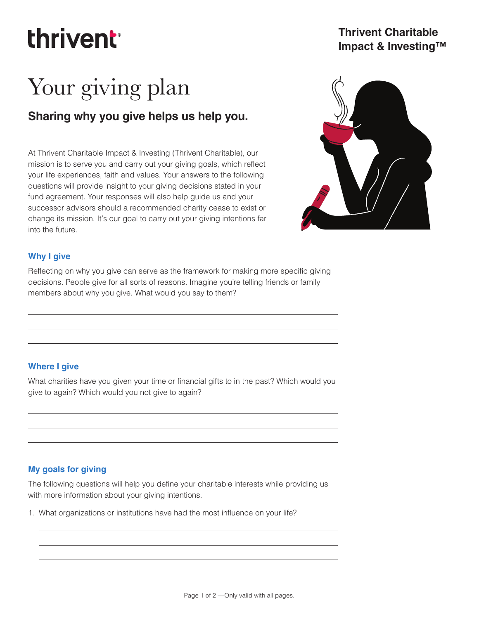## thrivent

### **Thrivent Charitable Impact & Investing™**

# Your giving plan

## **Sharing why you give helps us help you.**

At Thrivent Charitable Impact & Investing (Thrivent Charitable), our mission is to serve you and carry out your giving goals, which reflect your life experiences, faith and values. Your answers to the following questions will provide insight to your giving decisions stated in your fund agreement. Your responses will also help guide us and your successor advisors should a recommended charity cease to exist or change its mission. It's our goal to carry out your giving intentions far into the future.



#### **Why I give**

Reflecting on why you give can serve as the framework for making more specific giving decisions. People give for all sorts of reasons. Imagine you're telling friends or family members about why you give. What would you say to them?

#### **Where I give**

What charities have you given your time or financial gifts to in the past? Which would you give to again? Which would you not give to again?

### **My goals for giving**

The following questions will help you define your charitable interests while providing us with more information about your giving intentions.

1. What organizations or institutions have had the most influence on your life?